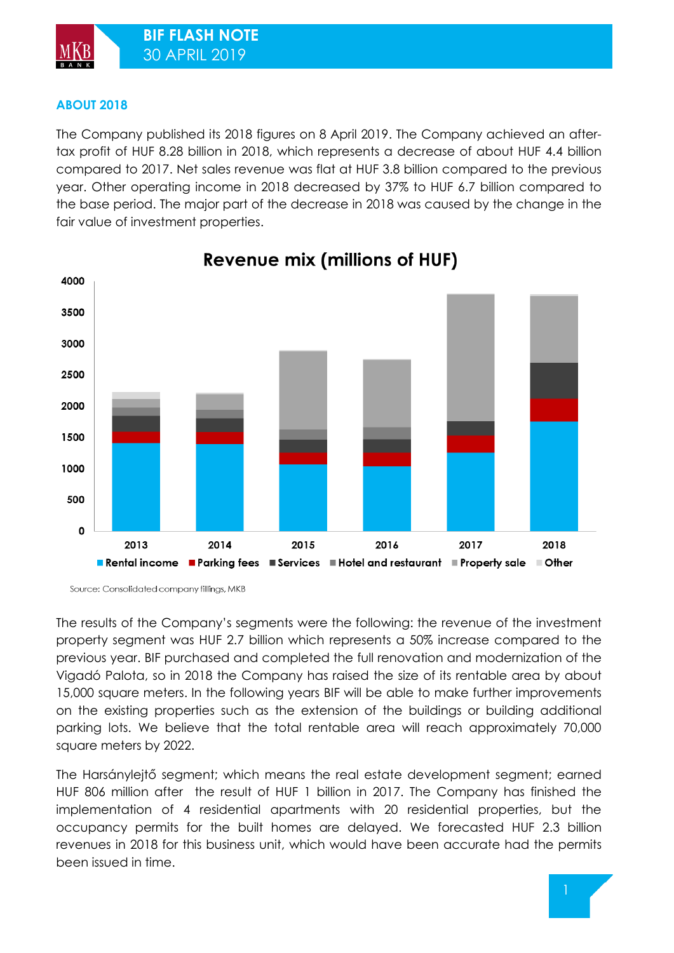## **ABOUT 2018**

The Company published its 2018 figures on 8 April 2019. The Company achieved an aftertax profit of HUF 8.28 billion in 2018, which represents a decrease of about HUF 4.4 billion compared to 2017. Net sales revenue was flat at HUF 3.8 billion compared to the previous year. Other operating income in 2018 decreased by 37% to HUF 6.7 billion compared to the base period. The major part of the decrease in 2018 was caused by the change in the fair value of investment properties.



**Revenue mix (millions of HUF)** 

Source: Consolidated company fillings, MKB

The results of the Company's segments were the following: the revenue of the investment property segment was HUF 2.7 billion which represents a 50% increase compared to the previous year. BIF purchased and completed the full renovation and modernization of the Vigadó Palota, so in 2018 the Company has raised the size of its rentable area by about 15,000 square meters. In the following years BIF will be able to make further improvements on the existing properties such as the extension of the buildings or building additional parking lots. We believe that the total rentable area will reach approximately 70,000 square meters by 2022.

The Harsánylejtő segment; which means the real estate development segment; earned HUF 806 million after the result of HUF 1 billion in 2017. The Company has finished the implementation of 4 residential apartments with 20 residential properties, but the occupancy permits for the built homes are delayed. We forecasted HUF 2.3 billion revenues in 2018 for this business unit, which would have been accurate had the permits been issued in time.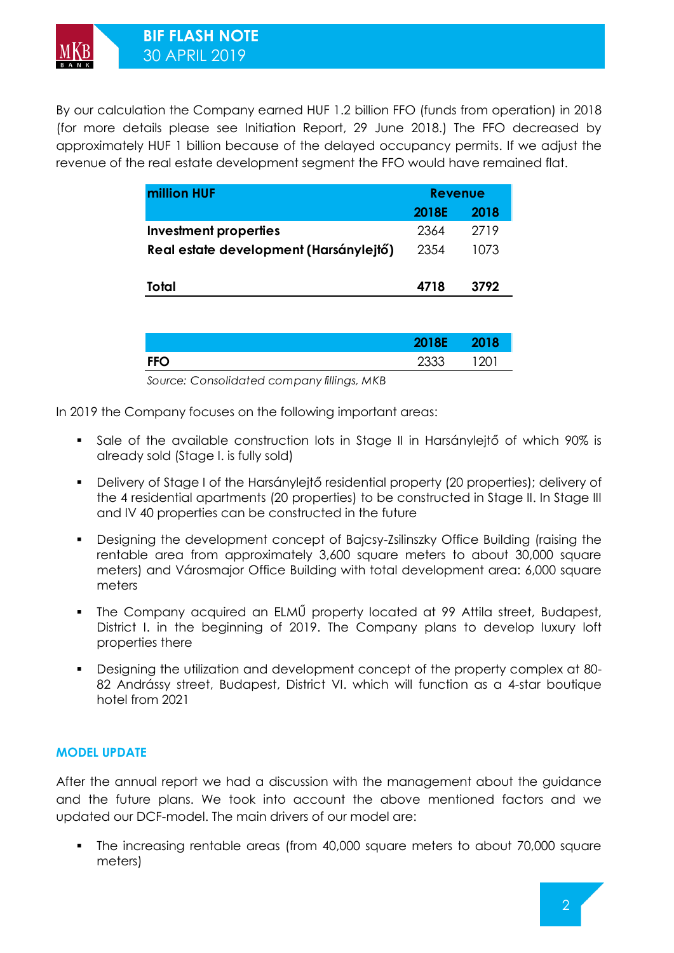By our calculation the Company earned HUF 1.2 billion FFO (funds from operation) in 2018 (for more details please see Initiation Report, 29 June 2018.) The FFO decreased by approximately HUF 1 billion because of the delayed occupancy permits. If we adjust the revenue of the real estate development segment the FFO would have remained flat.

| million HUF                            | <b>Revenue</b> |      |  |  |
|----------------------------------------|----------------|------|--|--|
|                                        | 2018E          | 2018 |  |  |
| <b>Investment properties</b>           | 2364           | 2719 |  |  |
| Real estate development (Harsánylejtő) | 2354           | 1073 |  |  |
|                                        |                |      |  |  |
| Total                                  | 4718           | 3792 |  |  |

|            | 2018E | 2018 |
|------------|-------|------|
| <b>FFO</b> | 2333  | 1201 |

*Source: Consolidated company fillings, MKB*

In 2019 the Company focuses on the following important areas:

- Sale of the available construction lots in Stage II in Harsánylejtő of which 90% is already sold (Stage I. is fully sold)
- Delivery of Stage I of the Harsánylejtő residential property (20 properties); delivery of the 4 residential apartments (20 properties) to be constructed in Stage II. In Stage III and IV 40 properties can be constructed in the future
- Designing the development concept of Bajcsy-Zsilinszky Office Building (raising the rentable area from approximately 3,600 square meters to about 30,000 square meters) and Városmajor Office Building with total development area: 6,000 square meters
- The Company acquired an ELMŰ property located at 99 Attila street, Budapest, District I. in the beginning of 2019. The Company plans to develop luxury loft properties there
- Designing the utilization and development concept of the property complex at 80- 82 Andrássy street, Budapest, District VI. which will function as a 4-star boutique hotel from 2021

## **MODEL UPDATE**

After the annual report we had a discussion with the management about the guidance and the future plans. We took into account the above mentioned factors and we updated our DCF-model. The main drivers of our model are:

 The increasing rentable areas (from 40,000 square meters to about 70,000 square meters)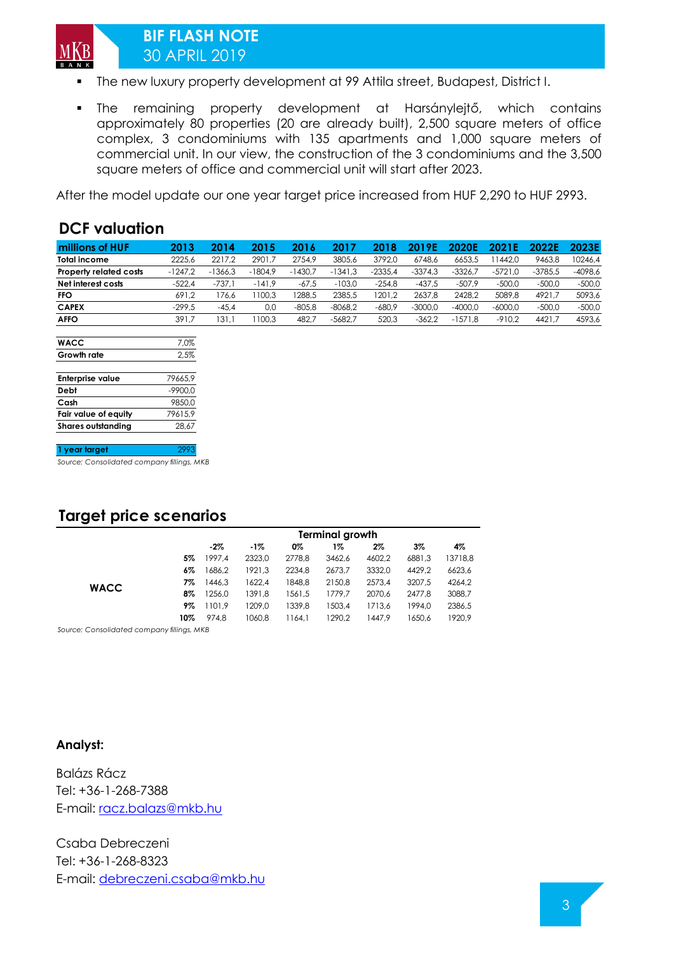

# **BIF FLASH NOTE**  30 APRIL 2019

- The new luxury property development at 99 Attila street, Budapest, District I.
- The remaining property development at Harsánylejtő, which contains approximately 80 properties (20 are already built), 2,500 square meters of office complex, 3 condominiums with 135 apartments and 1,000 square meters of commercial unit. In our view, the construction of the 3 condominiums and the 3,500 square meters of office and commercial unit will start after 2023.

After the model update our one year target price increased from HUF 2,290 to HUF 2993.

# **DCF valuation**

| millions of HUF                            | 2013      | 2014      | 2015      | 2016      | 2017                   | 2018      | 2019E     | 2020E     | 2021E     | 2022E     | 2023E     |
|--------------------------------------------|-----------|-----------|-----------|-----------|------------------------|-----------|-----------|-----------|-----------|-----------|-----------|
| <b>Total income</b>                        | 2225,6    | 2217,2    | 2901,7    | 2754,9    | 3805,6                 | 3792,0    | 6748,6    | 6653,5    | 11442,0   | 9463,8    | 10246,4   |
| Property related costs                     | $-1247,2$ | $-1366,3$ | $-1804,9$ | $-1430,7$ | $-1341,3$              | $-2335,4$ | $-3374,3$ | $-3326,7$ | $-5721,0$ | $-3785,5$ | $-4098,6$ |
| Net interest costs                         | $-522,4$  | $-737,1$  | $-141,9$  | $-67,5$   | $-103,0$               | $-254,8$  | $-437,5$  | $-507,9$  | $-500,0$  | $-500,0$  | $-500,0$  |
| <b>FFO</b>                                 | 691,2     | 176,6     | 1100,3    | 1288,5    | 2385,5                 | 1201,2    | 2637,8    | 2428,2    | 5089,8    | 4921,7    | 5093,6    |
| <b>CAPEX</b>                               | $-299,5$  | $-45,4$   | 0,0       | $-805,8$  | $-8068,2$              | $-680,9$  | $-3000,0$ | $-4000,0$ | $-6000,0$ | $-500,0$  | $-500,0$  |
| <b>AFFO</b>                                | 391,7     | 131,1     | 1100,3    | 482,7     | $-5682,7$              | 520,3     | $-362,2$  | $-1571,8$ | $-910,2$  | 4421,7    | 4593,6    |
|                                            |           |           |           |           |                        |           |           |           |           |           |           |
| <b>WACC</b>                                | 7,0%      |           |           |           |                        |           |           |           |           |           |           |
| Growth rate                                | 2,5%      |           |           |           |                        |           |           |           |           |           |           |
|                                            |           |           |           |           |                        |           |           |           |           |           |           |
| <b>Enterprise value</b>                    | 79665,9   |           |           |           |                        |           |           |           |           |           |           |
| Debt                                       | $-9900,0$ |           |           |           |                        |           |           |           |           |           |           |
| Cash                                       | 9850,0    |           |           |           |                        |           |           |           |           |           |           |
| Fair value of equity                       | 79615,9   |           |           |           |                        |           |           |           |           |           |           |
| <b>Shares outstanding</b>                  | 28,67     |           |           |           |                        |           |           |           |           |           |           |
|                                            |           |           |           |           |                        |           |           |           |           |           |           |
| 1 year target                              | 2993      |           |           |           |                        |           |           |           |           |           |           |
| Source: Consolidated company fillings, MKB |           |           |           |           |                        |           |           |           |           |           |           |
|                                            |           |           |           |           |                        |           |           |           |           |           |           |
|                                            |           |           |           |           |                        |           |           |           |           |           |           |
|                                            |           |           |           |           |                        |           |           |           |           |           |           |
| <b>Target price scenarios</b>              |           |           |           |           |                        |           |           |           |           |           |           |
|                                            |           |           |           |           |                        |           |           |           |           |           |           |
|                                            |           |           |           |           | <b>Terminal growth</b> |           |           |           |           |           |           |
|                                            |           | $-2\%$    | $-1%$     | 0%        | $1\%$                  | $2\%$     | $3\%$     | 4%        |           |           |           |
|                                            | 5%        | 1997,4    | 2323,0    | 2778,8    | 3462,6                 | 4602,2    | 6881,3    | 13718,8   |           |           |           |
|                                            | 6%        | 1686,2    | 1921,3    | 2234,8    | 2673,7                 | 3332,0    | 4429,2    | 6623,6    |           |           |           |
| <b>WACC</b>                                | 7%        | 1446,3    | 1622,4    | 1848,8    | 2150,8                 | 2573,4    | 3207,5    | 4264,2    |           |           |           |
|                                            | 8%        | 1256,0    | 1391,8    | 1561,5    | 1779,7                 | 2070,6    | 2477,8    | 3088,7    |           |           |           |
|                                            | 9%        | 1101,9    | 1209,0    | 1339,8    | 1503,4                 | 1713,6    | 1994,0    | 2386,5    |           |           |           |
|                                            | 10%       | 974,8     | 1060,8    | 1164,1    | 1290,2                 | 1447,9    | 1650,6    | 1920,9    |           |           |           |
| Source: Consolidated company fillings, MKB |           |           |           |           |                        |           |           |           |           |           |           |
|                                            |           |           |           |           |                        |           |           |           |           |           |           |
|                                            |           |           |           |           |                        |           |           |           |           |           |           |
|                                            |           |           |           |           |                        |           |           |           |           |           |           |
|                                            |           |           |           |           |                        |           |           |           |           |           |           |
|                                            |           |           |           |           |                        |           |           |           |           |           |           |
|                                            |           |           |           |           |                        |           |           |           |           |           |           |
|                                            |           |           |           |           |                        |           |           |           |           |           |           |
|                                            |           |           |           |           |                        |           |           |           |           |           |           |
| Analyst:                                   |           |           |           |           |                        |           |           |           |           |           |           |
|                                            |           |           |           |           |                        |           |           |           |           |           |           |
| <b>Balázs Rácz</b>                         |           |           |           |           |                        |           |           |           |           |           |           |
|                                            |           |           |           |           |                        |           |           |           |           |           |           |
| Tel: +36-1-268-7388                        |           |           |           |           |                        |           |           |           |           |           |           |
|                                            |           |           |           |           |                        |           |           |           |           |           |           |
| E-mail: racz.balazs@mkb.hu                 |           |           |           |           |                        |           |           |           |           |           |           |
|                                            |           |           |           |           |                        |           |           |           |           |           |           |
| Csaba Debreczeni                           |           |           |           |           |                        |           |           |           |           |           |           |
|                                            |           |           |           |           |                        |           |           |           |           |           |           |
| Tel: +36-1-268-8323                        |           |           |           |           |                        |           |           |           |           |           |           |
| E-mail: debreczeni.csaba@mkb.hu            |           |           |           |           |                        |           |           |           |           |           |           |
|                                            |           |           |           |           |                        |           |           |           |           |           |           |

| WACC                      | 7.0%      |
|---------------------------|-----------|
| Growth rate               | 2.5%      |
|                           |           |
| <b>Enterprise value</b>   | 79665.9   |
| Debt                      | $-9900.0$ |
| Cash                      | 9850.0    |
| Fair value of equity      | 79615.9   |
| <b>Shares outstanding</b> | 28.67     |
|                           |           |

# **Target price scenarios**

|                                            |     | <b>Terminal growth</b> |        |        |        |        |        |         |
|--------------------------------------------|-----|------------------------|--------|--------|--------|--------|--------|---------|
|                                            |     | $-2\%$                 | -1%    | 0%     | 1%     | 2%     | 3%     | 4%      |
| <b>WACC</b>                                | 5%  | 1997.4                 | 2323.0 | 2778.8 | 3462.6 | 4602,2 | 6881.3 | 13718,8 |
|                                            | 6%  | 686.2                  | 1921,3 | 2234.8 | 2673.7 | 3332,0 | 4429.2 | 6623,6  |
|                                            | 7%  | 446.3                  | 1622.4 | 1848.8 | 2150.8 | 2573.4 | 3207.5 | 4264,2  |
|                                            | 8%  | 1256.0                 | 1391.8 | 1561,5 | 1779.7 | 2070.6 | 2477.8 | 3088,7  |
|                                            | 9%  | 101.9                  | 1209.0 | 1339.8 | 1503.4 | 1713.6 | 1994.0 | 2386,5  |
|                                            | 10% | 974.8                  | 1060.8 | 1164.1 | 1290.2 | 1447.9 | 1650.6 | 1920,9  |
| Source: Consolidated company fillings, MKR |     |                        |        |        |        |        |        |         |

## **Analyst:**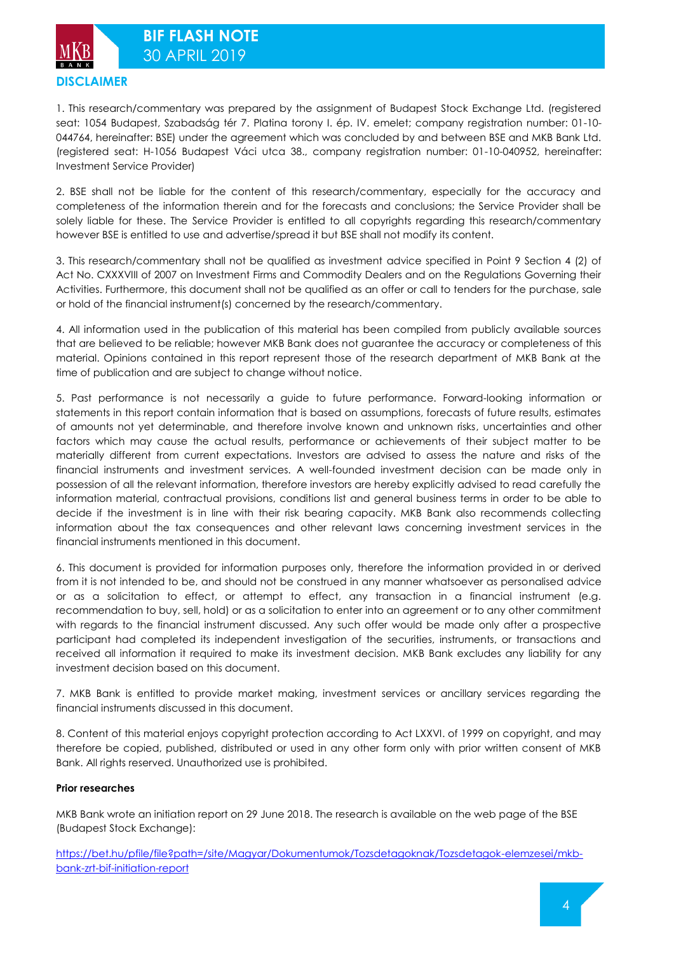

1. This research/commentary was prepared by the assignment of Budapest Stock Exchange Ltd. (registered seat: 1054 Budapest, Szabadság tér 7. Platina torony I. ép. IV. emelet; company registration number: 01-10- 044764, hereinafter: BSE) under the agreement which was concluded by and between BSE and MKB Bank Ltd. (registered seat: H-1056 Budapest Váci utca 38., company registration number: 01-10-040952, hereinafter: Investment Service Provider)

2. BSE shall not be liable for the content of this research/commentary, especially for the accuracy and completeness of the information therein and for the forecasts and conclusions; the Service Provider shall be solely liable for these. The Service Provider is entitled to all copyrights regarding this research/commentary however BSE is entitled to use and advertise/spread it but BSE shall not modify its content.

3. This research/commentary shall not be qualified as investment advice specified in Point 9 Section 4 (2) of Act No. CXXXVIII of 2007 on Investment Firms and Commodity Dealers and on the Regulations Governing their Activities. Furthermore, this document shall not be qualified as an offer or call to tenders for the purchase, sale or hold of the financial instrument(s) concerned by the research/commentary.

4. All information used in the publication of this material has been compiled from publicly available sources that are believed to be reliable; however MKB Bank does not guarantee the accuracy or completeness of this material. Opinions contained in this report represent those of the research department of MKB Bank at the time of publication and are subject to change without notice.

5. Past performance is not necessarily a guide to future performance. Forward-looking information or statements in this report contain information that is based on assumptions, forecasts of future results, estimates of amounts not yet determinable, and therefore involve known and unknown risks, uncertainties and other factors which may cause the actual results, performance or achievements of their subject matter to be materially different from current expectations. Investors are advised to assess the nature and risks of the financial instruments and investment services. A well-founded investment decision can be made only in possession of all the relevant information, therefore investors are hereby explicitly advised to read carefully the information material, contractual provisions, conditions list and general business terms in order to be able to decide if the investment is in line with their risk bearing capacity. MKB Bank also recommends collecting information about the tax consequences and other relevant laws concerning investment services in the financial instruments mentioned in this document.

6. This document is provided for information purposes only, therefore the information provided in or derived from it is not intended to be, and should not be construed in any manner whatsoever as personalised advice or as a solicitation to effect, or attempt to effect, any transaction in a financial instrument (e.g. recommendation to buy, sell, hold) or as a solicitation to enter into an agreement or to any other commitment with regards to the financial instrument discussed. Any such offer would be made only after a prospective participant had completed its independent investigation of the securities, instruments, or transactions and received all information it required to make its investment decision. MKB Bank excludes any liability for any investment decision based on this document.

7. MKB Bank is entitled to provide market making, investment services or ancillary services regarding the financial instruments discussed in this document.

8. Content of this material enjoys copyright protection according to Act LXXVI. of 1999 on copyright, and may therefore be copied, published, distributed or used in any other form only with prior written consent of MKB Bank. All rights reserved. Unauthorized use is prohibited.

### **Prior researches**

MKB Bank wrote an initiation report on 29 June 2018. The research is available on the web page of the BSE (Budapest Stock Exchange):

[https://bet.hu/pfile/file?path=/site/Magyar/Dokumentumok/Tozsdetagoknak/Tozsdetagok-elemzesei/mkb](https://bet.hu/pfile/file?path=/site/Magyar/Dokumentumok/Tozsdetagoknak/Tozsdetagok-elemzesei/mkb-bank-zrt-bif-initiation-report)[bank-zrt-bif-initiation-report](https://bet.hu/pfile/file?path=/site/Magyar/Dokumentumok/Tozsdetagoknak/Tozsdetagok-elemzesei/mkb-bank-zrt-bif-initiation-report)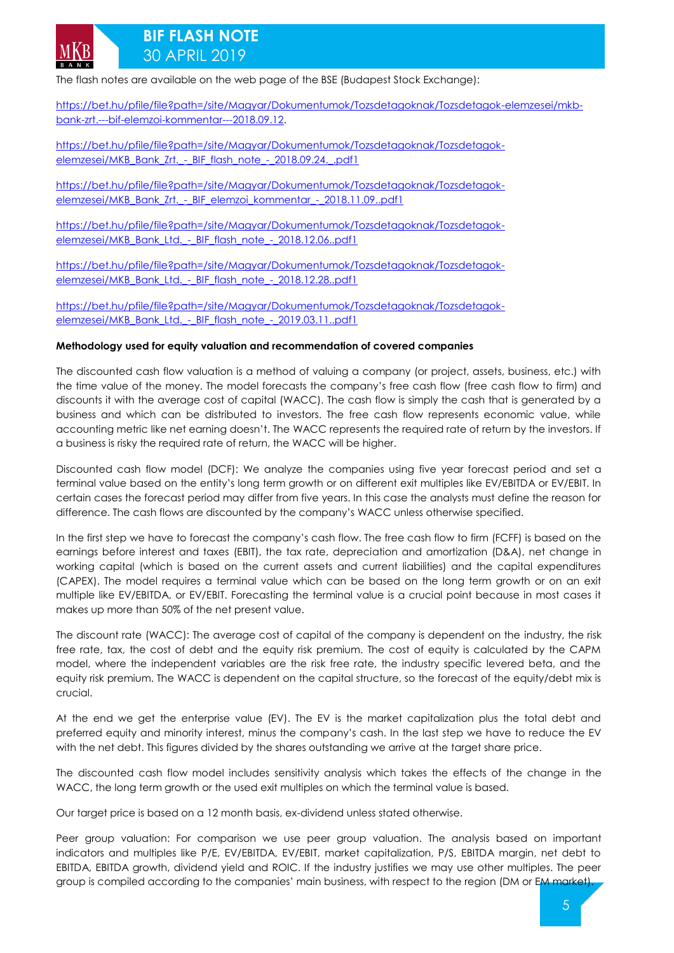# **BIF FLASH NOTE**  30 APRIL 2019

The flash notes are available on the web page of the BSE (Budapest Stock Exchange):

[https://bet.hu/pfile/file?path=/site/Magyar/Dokumentumok/Tozsdetagoknak/Tozsdetagok-elemzesei/mkb](https://bet.hu/pfile/file?path=/site/Magyar/Dokumentumok/Tozsdetagoknak/Tozsdetagok-elemzesei/mkb-bank-zrt.---bif-elemzoi-kommentar---2018.09.12)[bank-zrt.---bif-elemzoi-kommentar---2018.09.12.](https://bet.hu/pfile/file?path=/site/Magyar/Dokumentumok/Tozsdetagoknak/Tozsdetagok-elemzesei/mkb-bank-zrt.---bif-elemzoi-kommentar---2018.09.12)

[https://bet.hu/pfile/file?path=/site/Magyar/Dokumentumok/Tozsdetagoknak/Tozsdetagok](https://bet.hu/pfile/file?path=/site/Magyar/Dokumentumok/Tozsdetagoknak/Tozsdetagok-elemzesei/MKB_Bank_Zrt._-_BIF_flash_note_-_2018.09.24._.pdf1)elemzesei/MKB\_Bank\_Zrt. - BIF\_flash\_note\_-\_2018.09.24.\_.pdf1

[https://bet.hu/pfile/file?path=/site/Magyar/Dokumentumok/Tozsdetagoknak/Tozsdetagok](https://bet.hu/pfile/file?path=/site/Magyar/Dokumentumok/Tozsdetagoknak/Tozsdetagok-elemzesei/MKB_Bank_Zrt._-_BIF_elemzoi_kommentar_-_2018.11.09..pdf1)[elemzesei/MKB\\_Bank\\_Zrt.\\_-\\_BIF\\_elemzoi\\_kommentar\\_-\\_2018.11.09..pdf1](https://bet.hu/pfile/file?path=/site/Magyar/Dokumentumok/Tozsdetagoknak/Tozsdetagok-elemzesei/MKB_Bank_Zrt._-_BIF_elemzoi_kommentar_-_2018.11.09..pdf1)

[https://bet.hu/pfile/file?path=/site/Magyar/Dokumentumok/Tozsdetagoknak/Tozsdetagok](https://bet.hu/pfile/file?path=/site/Magyar/Dokumentumok/Tozsdetagoknak/Tozsdetagok-elemzesei/MKB_Bank_Ltd._-_BIF_flash_note_-_2018.12.06..pdf1)elemzesei/MKB\_Bank\_Ltd. - BIF\_flash\_note\_-\_2018.12.06..pdf1

[https://bet.hu/pfile/file?path=/site/Magyar/Dokumentumok/Tozsdetagoknak/Tozsdetagok](https://bet.hu/pfile/file?path=/site/Magyar/Dokumentumok/Tozsdetagoknak/Tozsdetagok-elemzesei/MKB_Bank_Ltd._-_BIF_flash_note_-_2018.12.28..pdf1)elemzesei/MKB\_Bank\_Ltd. - BIF\_flash\_note\_-\_2018.12.28..pdf1

[https://bet.hu/pfile/file?path=/site/Magyar/Dokumentumok/Tozsdetagoknak/Tozsdetagok](https://bet.hu/pfile/file?path=/site/Magyar/Dokumentumok/Tozsdetagoknak/Tozsdetagok-elemzesei/MKB_Bank_Ltd._-_BIF_flash_note_-_2019.03.11..pdf1)elemzesei/MKB\_Bank\_Ltd. - BIF\_flash\_note\_-\_2019.03.11..pdf1

### **Methodology used for equity valuation and recommendation of covered companies**

The discounted cash flow valuation is a method of valuing a company (or project, assets, business, etc.) with the time value of the money. The model forecasts the company's free cash flow (free cash flow to firm) and discounts it with the average cost of capital (WACC). The cash flow is simply the cash that is generated by a business and which can be distributed to investors. The free cash flow represents economic value, while accounting metric like net earning doesn't. The WACC represents the required rate of return by the investors. If a business is risky the required rate of return, the WACC will be higher.

Discounted cash flow model (DCF): We analyze the companies using five year forecast period and set a terminal value based on the entity's long term growth or on different exit multiples like EV/EBITDA or EV/EBIT. In certain cases the forecast period may differ from five years. In this case the analysts must define the reason for difference. The cash flows are discounted by the company's WACC unless otherwise specified.

In the first step we have to forecast the company's cash flow. The free cash flow to firm (FCFF) is based on the earnings before interest and taxes (EBIT), the tax rate, depreciation and amortization (D&A), net change in working capital (which is based on the current assets and current liabilities) and the capital expenditures (CAPEX). The model requires a terminal value which can be based on the long term growth or on an exit multiple like EV/EBITDA, or EV/EBIT. Forecasting the terminal value is a crucial point because in most cases it makes up more than 50% of the net present value.

The discount rate (WACC): The average cost of capital of the company is dependent on the industry, the risk free rate, tax, the cost of debt and the equity risk premium. The cost of equity is calculated by the CAPM model, where the independent variables are the risk free rate, the industry specific levered beta, and the equity risk premium. The WACC is dependent on the capital structure, so the forecast of the equity/debt mix is crucial.

At the end we get the enterprise value (EV). The EV is the market capitalization plus the total debt and preferred equity and minority interest, minus the company's cash. In the last step we have to reduce the EV with the net debt. This figures divided by the shares outstanding we arrive at the target share price.

The discounted cash flow model includes sensitivity analysis which takes the effects of the change in the WACC, the long term growth or the used exit multiples on which the terminal value is based.

Our target price is based on a 12 month basis, ex-dividend unless stated otherwise.

Peer group valuation: For comparison we use peer group valuation. The analysis based on important indicators and multiples like P/E, EV/EBITDA, EV/EBIT, market capitalization, P/S, EBITDA margin, net debt to EBITDA, EBITDA growth, dividend yield and ROIC. If the industry justifies we may use other multiples. The peer group is compiled according to the companies' main business, with respect to the region (DM or EM market).